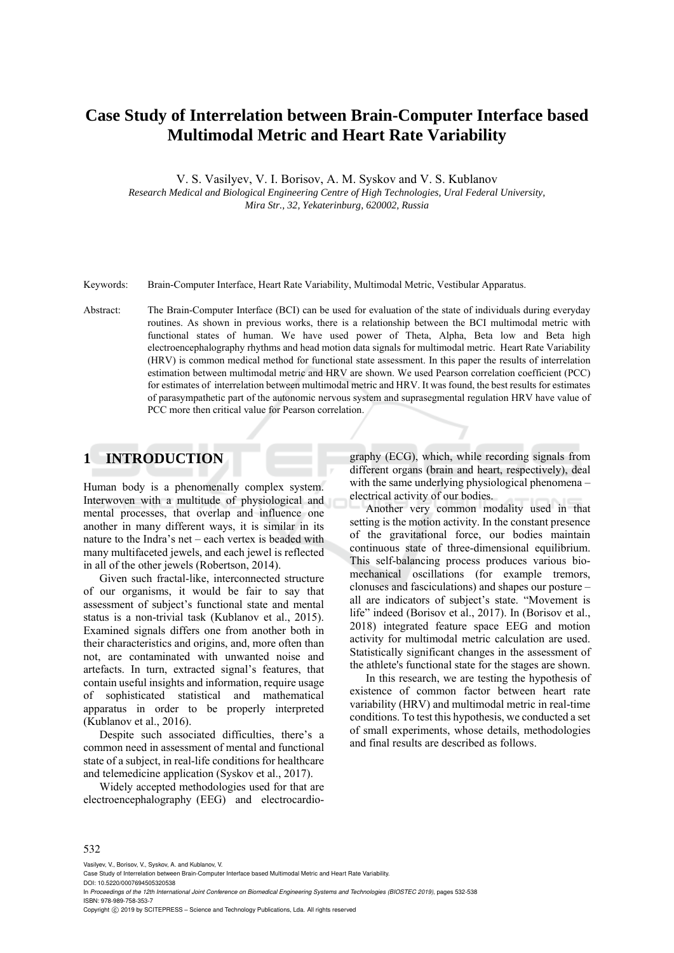# **Case Study of Interrelation between Brain-Computer Interface based Multimodal Metric and Heart Rate Variability**

V. S. Vasilyev, V. I. Borisov, A. M. Syskov and V. S. Kublanov

*Research Medical and Biological Engineering Centre of High Technologies, Ural Federal University, Mira Str., 32, Yekaterinburg, 620002, Russia* 

Keywords: Brain-Computer Interface, Heart Rate Variability, Multimodal Metric, Vestibular Apparatus.

Abstract: The Brain-Computer Interface (BCI) can be used for evaluation of the state of individuals during everyday routines. As shown in previous works, there is a relationship between the BCI multimodal metric with functional states of human. We have used power of Theta, Alpha, Beta low and Beta high electroencephalography rhythms and head motion data signals for multimodal metric. Heart Rate Variability (HRV) is common medical method for functional state assessment. In this paper the results of interrelation estimation between multimodal metric and HRV are shown. We used Pearson correlation coefficient (PCC) for estimates of interrelation between multimodal metric and HRV. It was found, the best results for estimates of parasympathetic part of the autonomic nervous system and suprasegmental regulation HRV have value of PCC more then critical value for Pearson correlation.

## **1 INTRODUCTION**

Human body is a phenomenally complex system. Interwoven with a multitude of physiological and mental processes, that overlap and influence one another in many different ways, it is similar in its nature to the Indra's net – each vertex is beaded with many multifaceted jewels, and each jewel is reflected in all of the other jewels (Robertson, 2014).

Given such fractal-like, interconnected structure of our organisms, it would be fair to say that assessment of subject's functional state and mental status is a non-trivial task (Kublanov et al., 2015). Examined signals differs one from another both in their characteristics and origins, and, more often than not, are contaminated with unwanted noise and artefacts. In turn, extracted signal's features, that contain useful insights and information, require usage of sophisticated statistical and mathematical apparatus in order to be properly interpreted (Kublanov et al., 2016).

Despite such associated difficulties, there's a common need in assessment of mental and functional state of a subject, in real-life conditions for healthcare and telemedicine application (Syskov et al., 2017).

Widely accepted methodologies used for that are electroencephalography (EEG) and electrocardiography (ECG), which, while recording signals from different organs (brain and heart, respectively), deal with the same underlying physiological phenomena – electrical activity of our bodies.

Another very common modality used in that setting is the motion activity. In the constant presence of the gravitational force, our bodies maintain continuous state of three-dimensional equilibrium. This self-balancing process produces various biomechanical oscillations (for example tremors, clonuses and fasciculations) and shapes our posture – all are indicators of subject's state. "Movement is life" indeed (Borisov et al., 2017). In (Borisov et al., 2018) integrated feature space EEG and motion activity for multimodal metric calculation are used. Statistically significant changes in the assessment of the athlete's functional state for the stages are shown.

In this research, we are testing the hypothesis of existence of common factor between heart rate variability (HRV) and multimodal metric in real-time conditions. To test this hypothesis, we conducted a set of small experiments, whose details, methodologies and final results are described as follows.

#### 532

Vasilyev, V., Borisov, V., Syskov, A. and Kublanov, V.

In *Proceedings of the 12th International Joint Conference on Biomedical Engineering Systems and Technologies (BIOSTEC 2019)*, pages 532-538 ISBN: 978-989-758-353-7

Copyright © 2019 by SCITEPRESS - Science and Technology Publications, Lda. All rights reserved

Case Study of Interrelation between Brain-Computer Interface based Multimodal Metric and Heart Rate Variability. DOI: 10.5220/0007694505320538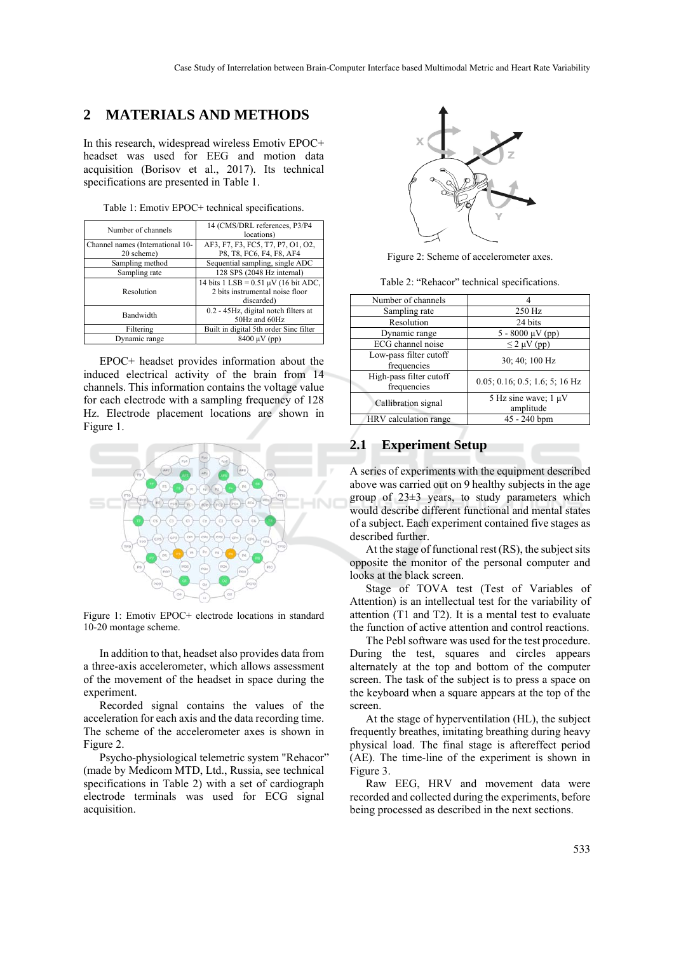### **2 MATERIALS AND METHODS**

In this research, widespread wireless Emotiv EPOC+ headset was used for EEG and motion data acquisition (Borisov et al., 2017). Its technical specifications are presented in Table 1.

Table 1: Emotiv EPOC+ technical specifications.

| Number of channels               | 14 (CMS/DRL references, P3/P4<br>locations)                                                  |
|----------------------------------|----------------------------------------------------------------------------------------------|
| Channel names (International 10- | AF3, F7, F3, FC5, T7, P7, O1, O2,                                                            |
| 20 scheme)                       | P8, T8, FC6, F4, F8, AF4                                                                     |
| Sampling method                  | Sequential sampling, single ADC                                                              |
| Sampling rate                    | 128 SPS (2048 Hz internal)                                                                   |
| Resolution                       | 14 bits $1$ LSB = 0.51 $\mu$ V (16 bit ADC,<br>2 bits instrumental noise floor<br>discarded) |
| Bandwidth                        | 0.2 - 45Hz, digital notch filters at<br>50Hz and 60Hz                                        |
| Filtering                        | Built in digital 5th order Sinc filter                                                       |
| Dynamic range                    | $8400 \mu V$ (pp)                                                                            |

EPOC+ headset provides information about the induced electrical activity of the brain from 14 channels. This information contains the voltage value for each electrode with a sampling frequency of 128 Hz. Electrode placement locations are shown in Figure 1.



Figure 1: Emotiv EPOC+ electrode locations in standard 10-20 montage scheme.

In addition to that, headset also provides data from a three-axis accelerometer, which allows assessment of the movement of the headset in space during the experiment.

Recorded signal contains the values of the acceleration for each axis and the data recording time. The scheme of the accelerometer axes is shown in Figure 2.

Psycho-physiological telemetric system "Rehacor" (made by Medicom MTD, Ltd., Russia, see technical specifications in Table 2) with a set of cardiograph electrode terminals was used for ECG signal acquisition.



Figure 2: Scheme of accelerometer axes.

Table 2: "Rehacor" technical specifications.

| Number of channels                     |                                        |
|----------------------------------------|----------------------------------------|
| Sampling rate                          | 250 Hz                                 |
| Resolution                             | 24 bits                                |
| Dynamic range                          | $5 - 8000 \mu V$ (pp)                  |
| ECG channel noise                      | $\leq$ 2 µV (pp)                       |
| Low-pass filter cutoff<br>frequencies  | 30; 40; 100 Hz                         |
| High-pass filter cutoff<br>frequencies | $0.05; 0.16; 0.5; 1.6; 5; 16$ Hz       |
| Callibration signal                    | 5 Hz sine wave; $1 \mu V$<br>amplitude |
| HRV calculation range                  | 45 - 240 bpm                           |
|                                        |                                        |

### **2.1 Experiment Setup**

A series of experiments with the equipment described above was carried out on 9 healthy subjects in the age group of 23±3 years, to study parameters which would describe different functional and mental states of a subject. Each experiment contained five stages as described further.

At the stage of functional rest (RS), the subject sits opposite the monitor of the personal computer and looks at the black screen.

Stage of TOVA test (Test of Variables of Attention) is an intellectual test for the variability of attention (T1 and T2). It is a mental test to evaluate the function of active attention and control reactions.

The Pebl software was used for the test procedure. During the test, squares and circles appears alternately at the top and bottom of the computer screen. The task of the subject is to press a space on the keyboard when a square appears at the top of the screen.

At the stage of hyperventilation (HL), the subject frequently breathes, imitating breathing during heavy physical load. The final stage is aftereffect period (AE). The time-line of the experiment is shown in Figure 3.

Raw EEG, HRV and movement data were recorded and collected during the experiments, before being processed as described in the next sections.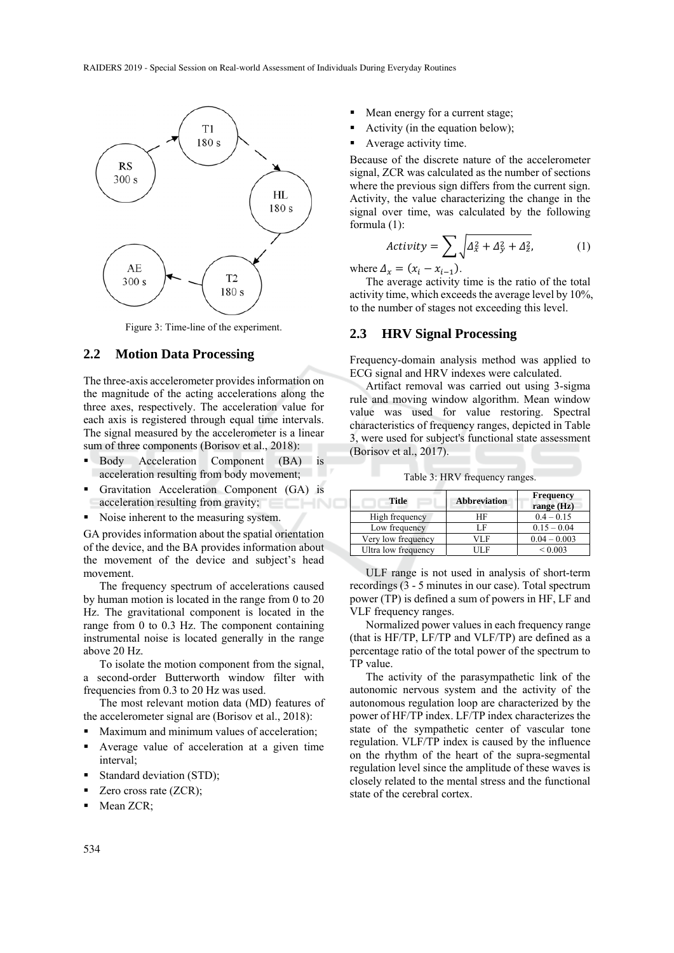

Figure 3: Time-line of the experiment.

#### **2.2 Motion Data Processing**

The three-axis accelerometer provides information on the magnitude of the acting accelerations along the three axes, respectively. The acceleration value for each axis is registered through equal time intervals. The signal measured by the accelerometer is a linear sum of three components (Borisov et al., 2018):

- Body Acceleration Component (BA) is acceleration resulting from body movement;
- Gravitation Acceleration Component (GA) is acceleration resulting from gravity; ECHNO
- Noise inherent to the measuring system.

GA provides information about the spatial orientation of the device, and the BA provides information about the movement of the device and subject's head movement.

The frequency spectrum of accelerations caused by human motion is located in the range from 0 to 20 Hz. The gravitational component is located in the range from 0 to 0.3 Hz. The component containing instrumental noise is located generally in the range above 20 Hz.

To isolate the motion component from the signal, a second-order Butterworth window filter with frequencies from 0.3 to 20 Hz was used.

The most relevant motion data (MD) features of the accelerometer signal are (Borisov et al., 2018):

- **Maximum and minimum values of acceleration;**
- Average value of acceleration at a given time interval;
- Standard deviation (STD);
- $\blacksquare$  Zero cross rate (ZCR);
- Mean ZCR;
- Mean energy for a current stage;
- Activity (in the equation below);
- Average activity time.

Because of the discrete nature of the accelerometer signal, ZCR was calculated as the number of sections where the previous sign differs from the current sign. Activity, the value characterizing the change in the signal over time, was calculated by the following formula (1):

$$
Activity = \sum_{x} \sqrt{\Delta_x^2 + \Delta_y^2 + \Delta_z^2},
$$
 (1)

where  $\Delta_x = (x_i - x_{i-1})$ .

The average activity time is the ratio of the total activity time, which exceeds the average level by 10%, to the number of stages not exceeding this level.

#### **2.3 HRV Signal Processing**

Frequency-domain analysis method was applied to ECG signal and HRV indexes were calculated.

Artifact removal was carried out using 3-sigma rule and moving window algorithm. Mean window value was used for value restoring. Spectral characteristics of frequency ranges, depicted in Table 3, were used for subject's functional state assessment (Borisov et al., 2017).

Table 3: HRV frequency ranges.

| <b>Title</b>        | <b>Abbreviation</b> | <b>Frequency</b><br>range (Hz) |
|---------------------|---------------------|--------------------------------|
| High frequency      | HF                  | $0.4 - 0.15$                   |
| Low frequency       | I F                 | $0.15 - 0.04$                  |
| Very low frequency  | VL F                | $0.04 - 0.003$                 |
| Ultra low frequency | ΠF                  | ${}_{0.003}$                   |

ULF range is not used in analysis of short-term recordings (3 - 5 minutes in our case). Total spectrum power (TP) is defined a sum of powers in HF, LF and VLF frequency ranges.

Normalized power values in each frequency range (that is HF/TP, LF/TP and VLF/TP) are defined as a percentage ratio of the total power of the spectrum to TP value.

The activity of the parasympathetic link of the autonomic nervous system and the activity of the autonomous regulation loop are characterized by the power of HF/TP index. LF/TP index characterizes the state of the sympathetic center of vascular tone regulation. VLF/TP index is caused by the influence on the rhythm of the heart of the supra-segmental regulation level since the amplitude of these waves is closely related to the mental stress and the functional state of the cerebral cortex.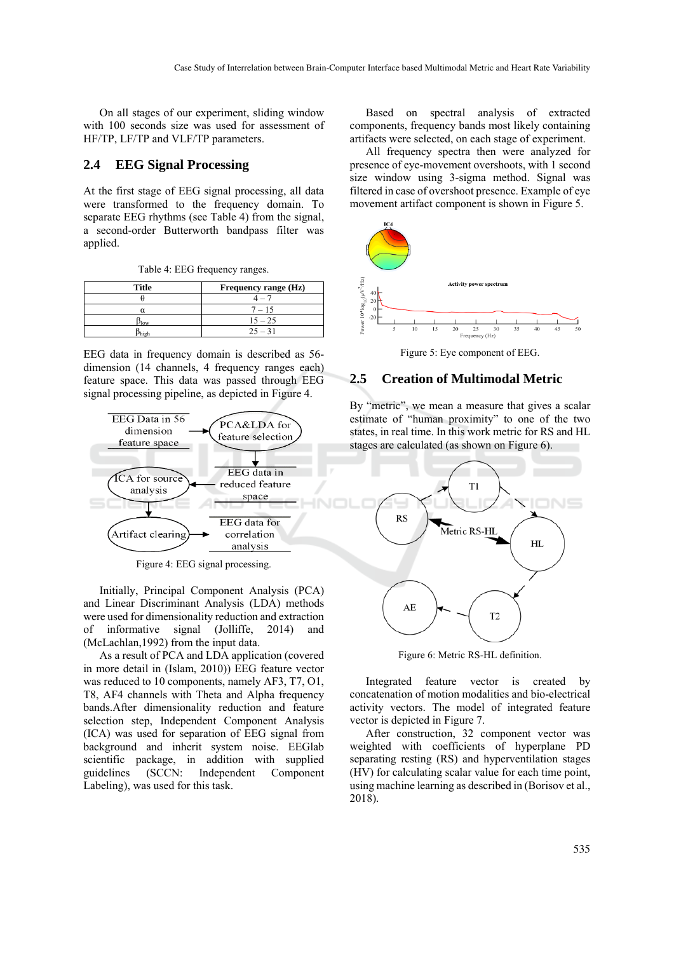On all stages of our experiment, sliding window with 100 seconds size was used for assessment of HF/TP, LF/TP and VLF/TP parameters.

#### **2.4 EEG Signal Processing**

At the first stage of EEG signal processing, all data were transformed to the frequency domain. To separate EEG rhythms (see Table 4) from the signal, a second-order Butterworth bandpass filter was applied.

| <b>Title</b>  | Frequency range (Hz) |
|---------------|----------------------|
|               |                      |
| α             | $7 - 15$             |
| $D_{\rm low}$ | $15 - 25$            |
| high          | $25 - 31$            |

EEG data in frequency domain is described as 56 dimension (14 channels, 4 frequency ranges each) feature space. This data was passed through EEG signal processing pipeline, as depicted in Figure 4.



Figure 4: EEG signal processing.

Initially, Principal Component Analysis (PCA) and Linear Discriminant Analysis (LDA) methods were used for dimensionality reduction and extraction of informative signal (Jolliffe, 2014) and (McLachlan,1992) from the input data.

As a result of PCA and LDA application (covered in more detail in (Islam, 2010)) EEG feature vector was reduced to 10 components, namely AF3, T7, O1, T8, AF4 channels with Theta and Alpha frequency bands.After dimensionality reduction and feature selection step, Independent Component Analysis (ICA) was used for separation of EEG signal from background and inherit system noise. EEGlab scientific package, in addition with supplied guidelines (SCCN: Independent Component Labeling), was used for this task.

Based on spectral analysis of extracted components, frequency bands most likely containing artifacts were selected, on each stage of experiment.

All frequency spectra then were analyzed for presence of eye-movement overshoots, with 1 second size window using 3-sigma method. Signal was filtered in case of overshoot presence. Example of eye movement artifact component is shown in Figure 5.



Figure 5: Eye component of EEG.

#### **2.5 Creation of Multimodal Metric**

By "metric", we mean a measure that gives a scalar estimate of "human proximity" to one of the two states, in real time. In this work metric for RS and HL stages are calculated (as shown on Figure 6).



Figure 6: Metric RS-HL definition.

Integrated feature vector is created by concatenation of motion modalities and bio-electrical activity vectors. The model of integrated feature vector is depicted in Figure 7.

After construction, 32 component vector was weighted with coefficients of hyperplane PD separating resting (RS) and hyperventilation stages (HV) for calculating scalar value for each time point, using machine learning as described in (Borisov et al., 2018).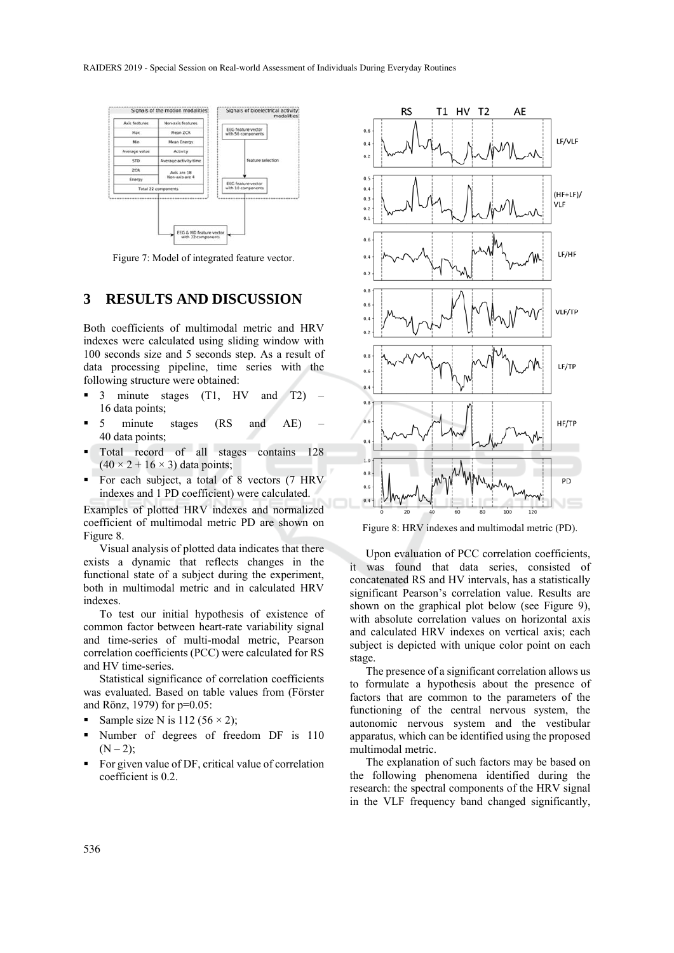

Figure 7: Model of integrated feature vector.

### **3 RESULTS AND DISCUSSION**

Both coefficients of multimodal metric and HRV indexes were calculated using sliding window with 100 seconds size and 5 seconds step. As a result of data processing pipeline, time series with the following structure were obtained:

- **3** minute stages (T1, HV and T2) 16 data points;
- 5 minute stages (RS and AE) 40 data points;
- Total record of all stages contains 128  $(40 \times 2 + 16 \times 3)$  data points;
- For each subject, a total of 8 vectors (7 HRV indexes and 1 PD coefficient) were calculated.

Examples of plotted HRV indexes and normalized coefficient of multimodal metric PD are shown on Figure 8.

Visual analysis of plotted data indicates that there exists a dynamic that reflects changes in the functional state of a subject during the experiment, both in multimodal metric and in calculated HRV indexes.

To test our initial hypothesis of existence of common factor between heart-rate variability signal and time-series of multi-modal metric, Pearson correlation coefficients (PCC) were calculated for RS and HV time-series.

Statistical significance of correlation coefficients was evaluated. Based on table values from (Förster and Rönz, 1979) for p=0.05:

- Sample size N is 112 (56  $\times$  2);
- Number of degrees of freedom DF is 110  $(N - 2)$ :
- For given value of DF, critical value of correlation coefficient is 0.2.



Figure 8: HRV indexes and multimodal metric (PD).

Upon evaluation of PCC correlation coefficients, it was found that data series, consisted of concatenated RS and HV intervals, has a statistically significant Pearson's correlation value. Results are shown on the graphical plot below (see Figure 9), with absolute correlation values on horizontal axis and calculated HRV indexes on vertical axis; each subject is depicted with unique color point on each stage.

The presence of a significant correlation allows us to formulate a hypothesis about the presence of factors that are common to the parameters of the functioning of the central nervous system, the autonomic nervous system and the vestibular apparatus, which can be identified using the proposed multimodal metric.

The explanation of such factors may be based on the following phenomena identified during the research: the spectral components of the HRV signal in the VLF frequency band changed significantly,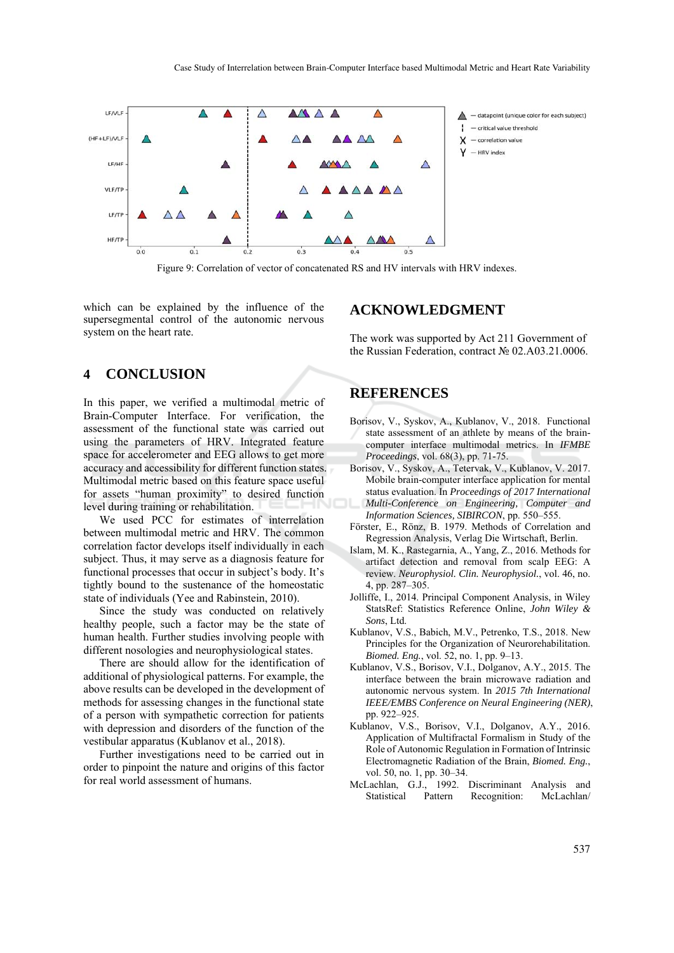

Figure 9: Correlation of vector of concatenated RS and HV intervals with HRV indexes.

which can be explained by the influence of the supersegmental control of the autonomic nervous system on the heart rate.

### **4 CONCLUSION**

In this paper, we verified a multimodal metric of Brain-Computer Interface. For verification, the assessment of the functional state was carried out using the parameters of HRV. Integrated feature space for accelerometer and EEG allows to get more accuracy and accessibility for different function states. Multimodal metric based on this feature space useful for assets "human proximity" to desired function level during training or rehabilitation.

We used PCC for estimates of interrelation between multimodal metric and HRV. The common correlation factor develops itself individually in each subject. Thus, it may serve as a diagnosis feature for functional processes that occur in subject's body. It's tightly bound to the sustenance of the homeostatic state of individuals (Yee and Rabinstein, 2010).

Since the study was conducted on relatively healthy people, such a factor may be the state of human health. Further studies involving people with different nosologies and neurophysiological states.

There are should allow for the identification of additional of physiological patterns. For example, the above results can be developed in the development of methods for assessing changes in the functional state of a person with sympathetic correction for patients with depression and disorders of the function of the vestibular apparatus (Kublanov et al., 2018).

Further investigations need to be carried out in order to pinpoint the nature and origins of this factor for real world assessment of humans.

#### **ACKNOWLEDGMENT**

The work was supported by Act 211 Government of the Russian Federation, contract № 02.A03.21.0006.

### **REFERENCES**

- Borisov, V., Syskov, A., Kublanov, V., 2018. Functional state assessment of an athlete by means of the braincomputer interface multimodal metrics. In *IFMBE Proceedings*, vol. 68(3), pp. 71-75.
- Borisov, V., Syskov, A., Tetervak, V., Kublanov, V. 2017. Mobile brain-computer interface application for mental status evaluation. In *Proceedings of 2017 International Multi-Conference on Engineering, Computer and Information Sciences, SIBIRCON*, pp. 550–555.
- Förster, E., Rönz, B. 1979. Methods of Correlation and Regression Analysis, Verlag Die Wirtschaft, Berlin.
- Islam, M. K., Rastegarnia, A., Yang, Z., 2016. Methods for artifact detection and removal from scalp EEG: A review. *Neurophysiol. Clin. Neurophysiol.*, vol. 46, no. 4, pp. 287–305.
- Jolliffe, I., 2014. Principal Component Analysis, in Wiley StatsRef: Statistics Reference Online, *John Wiley & Sons*, Ltd.
- Kublanov, V.S., Babich, M.V., Petrenko, T.S., 2018. New Principles for the Organization of Neurorehabilitation. *Biomed. Eng.*, vol. 52, no. 1, pp. 9–13.
- Kublanov, V.S., Borisov, V.I., Dolganov, A.Y., 2015. The interface between the brain microwave radiation and autonomic nervous system. In *2015 7th International IEEE/EMBS Conference on Neural Engineering (NER)*, pp. 922–925.
- Kublanov, V.S., Borisov, V.I., Dolganov, A.Y., 2016. Application of Multifractal Formalism in Study of the Role of Autonomic Regulation in Formation of Intrinsic Electromagnetic Radiation of the Brain, *Biomed. Eng.*, vol. 50, no. 1, pp. 30–34.
- McLachlan, G.J., 1992. Discriminant Analysis and Statistical Pattern Recognition: McLachlan/